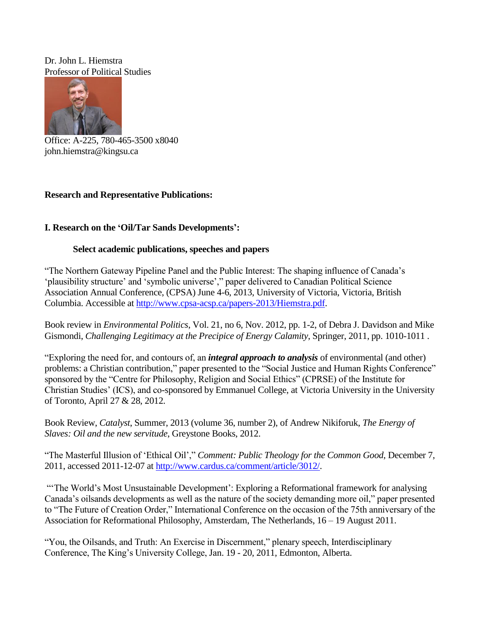Dr. John L. Hiemstra Professor of Political Studies



Office: A-225, 780-465-3500 x8040 john.hiemstra@kingsu.ca

## **Research and Representative Publications:**

## **I. Research on the 'Oil/Tar Sands Developments':**

## **Select academic publications, speeches and papers**

"The Northern Gateway Pipeline Panel and the Public Interest: The shaping influence of Canada's 'plausibility structure' and 'symbolic universe'," paper delivered to Canadian Political Science Association Annual Conference, (CPSA) June 4-6, 2013, University of Victoria, Victoria, British Columbia. Accessible at [http://www.cpsa-acsp.ca/papers-2013/Hiemstra.pdf.](http://www.cpsa-acsp.ca/papers-2013/Hiemstra.pdf)

Book review in *Environmental Politics*, Vol. 21, no 6, Nov. 2012, pp. 1-2, of Debra J. Davidson and Mike Gismondi, *Challenging Legitimacy at the Precipice of Energy Calamity*, Springer, 2011, pp. 1010-1011 .

"Exploring the need for, and contours of, an *integral approach to analysis* of environmental (and other) problems: a Christian contribution," paper presented to the "Social Justice and Human Rights Conference" sponsored by the "Centre for Philosophy, Religion and Social Ethics" (CPRSE) of the Institute for Christian Studies' (ICS), and co-sponsored by Emmanuel College, at Victoria University in the University of Toronto, April 27 & 28, 2012.

Book Review, *Catalyst*, Summer, 2013 (volume 36, number 2), of Andrew Nikiforuk, *The Energy of Slaves: Oil and the new servitude*, Greystone Books, 2012.

"The Masterful Illusion of 'Ethical Oil'," *Comment: Public Theology for the Common Good*, December 7, 2011, accessed 2011-12-07 at [http://www.cardus.ca/comment/article/3012/.](http://www.cardus.ca/comment/article/3012/)

"The World's Most Unsustainable Development': Exploring a Reformational framework for analysing Canada's oilsands developments as well as the nature of the society demanding more oil," paper presented to "The Future of Creation Order," International Conference on the occasion of the 75th anniversary of the Association for Reformational Philosophy, Amsterdam, The Netherlands, 16 – 19 August 2011.

"You, the Oilsands, and Truth: An Exercise in Discernment," plenary speech, Interdisciplinary Conference, The King's University College, Jan. 19 - 20, 2011, Edmonton, Alberta.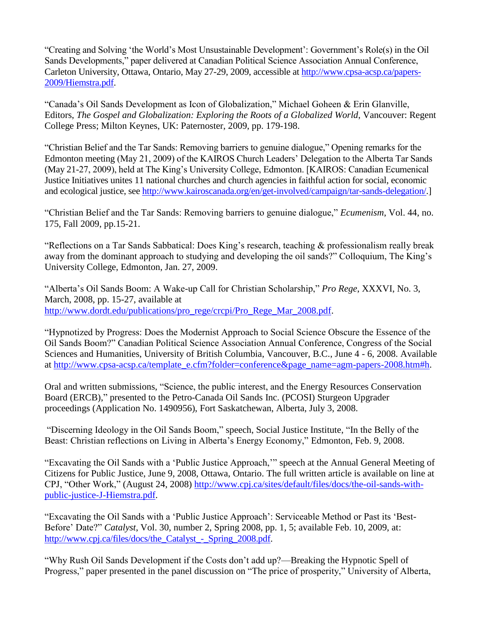"Creating and Solving 'the World's Most Unsustainable Development': Government's Role(s) in the Oil Sands Developments," paper delivered at Canadian Political Science Association Annual Conference, Carleton University, Ottawa, Ontario, May 27-29, 2009, accessible at [http://www.cpsa-acsp.ca/papers-](http://www.cpsa-acsp.ca/papers-2009/Hiemstra.pdf)[2009/Hiemstra.pdf.](http://www.cpsa-acsp.ca/papers-2009/Hiemstra.pdf)

"Canada's Oil Sands Development as Icon of Globalization," Michael Goheen & Erin Glanville, Editors, *The Gospel and Globalization: Exploring the Roots of a Globalized World*, Vancouver: Regent College Press; Milton Keynes, UK: Paternoster, 2009, pp. 179-198.

"Christian Belief and the Tar Sands: Removing barriers to genuine dialogue," Opening remarks for the Edmonton meeting (May 21, 2009) of the KAIROS Church Leaders' Delegation to the Alberta Tar Sands (May 21-27, 2009), held at The King's University College, Edmonton. [KAIROS: Canadian Ecumenical Justice Initiatives unites 11 national churches and church agencies in faithful action for social, economic and ecological justice, see [http://www.kairoscanada.org/en/get-involved/campaign/tar-sands-delegation/.](http://www.kairoscanada.org/en/get-involved/campaign/tar-sands-delegation/)]

"Christian Belief and the Tar Sands: Removing barriers to genuine dialogue," *Ecumenism*, Vol. 44, no. 175, Fall 2009, pp.15-21.

"Reflections on a Tar Sands Sabbatical: Does King's research, teaching & professionalism really break away from the dominant approach to studying and developing the oil sands?" Colloquium, The King's University College, Edmonton, Jan. 27, 2009.

"Alberta's Oil Sands Boom: A Wake-up Call for Christian Scholarship," *Pro Rege*, XXXVI, No. 3, March, 2008, pp. 15-27, available at [http://www.dordt.edu/publications/pro\\_rege/crcpi/Pro\\_Rege\\_Mar\\_2008.pdf.](http://www.dordt.edu/publications/pro_rege/crcpi/Pro_Rege_Mar_2008.pdf)

"Hypnotized by Progress: Does the Modernist Approach to Social Science Obscure the Essence of the Oil Sands Boom?" Canadian Political Science Association Annual Conference, Congress of the Social Sciences and Humanities, University of British Columbia, Vancouver, B.C., June 4 - 6, 2008. Available at [http://www.cpsa-acsp.ca/template\\_e.cfm?folder=conference&page\\_name=agm-papers-2008.htm#h.](http://www.cpsa-acsp.ca/template_e.cfm?folder=conference&page_name=agm-papers-2008.htm#h)

Oral and written submissions, "Science, the public interest, and the Energy Resources Conservation Board (ERCB)," presented to the Petro-Canada Oil Sands Inc. (PCOSI) Sturgeon Upgrader proceedings (Application No. 1490956), Fort Saskatchewan, Alberta, July 3, 2008.

"Discerning Ideology in the Oil Sands Boom," speech, Social Justice Institute, "In the Belly of the Beast: Christian reflections on Living in Alberta's Energy Economy," Edmonton, Feb. 9, 2008.

"Excavating the Oil Sands with a 'Public Justice Approach,'" speech at the Annual General Meeting of Citizens for Public Justice, June 9, 2008, Ottawa, Ontario. The full written article is available on line at CPJ, "Other Work," (August 24, 2008) [http://www.cpj.ca/sites/default/files/docs/the-oil-sands-with](http://www.cpj.ca/sites/default/files/docs/the-oil-sands-with-public-justice-J-Hiemstra.pdf)[public-justice-J-Hiemstra.pdf.](http://www.cpj.ca/sites/default/files/docs/the-oil-sands-with-public-justice-J-Hiemstra.pdf)

"Excavating the Oil Sands with a 'Public Justice Approach': Serviceable Method or Past its 'Best-Before' Date?" *Catalyst*, Vol. 30, number 2, Spring 2008, pp. 1, 5; available Feb. 10, 2009, at: http://www.cpj.ca/files/docs/the\_Catalyst - Spring\_2008.pdf.

"Why Rush Oil Sands Development if the Costs don't add up?—Breaking the Hypnotic Spell of Progress," paper presented in the panel discussion on "The price of prosperity," University of Alberta,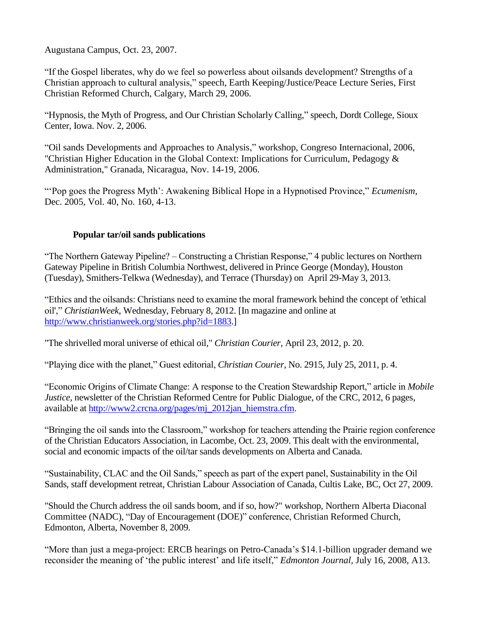Augustana Campus, Oct. 23, 2007.

"If the Gospel liberates, why do we feel so powerless about oilsands development? Strengths of a Christian approach to cultural analysis," speech, Earth Keeping/Justice/Peace Lecture Series, First Christian Reformed Church, Calgary, March 29, 2006.

"Hypnosis, the Myth of Progress, and Our Christian Scholarly Calling," speech, Dordt College, Sioux Center, Iowa. Nov. 2, 2006.

"Oil sands Developments and Approaches to Analysis," workshop, Congreso Internacional, 2006, "Christian Higher Education in the Global Context: Implications for Curriculum, Pedagogy & Administration," Granada, Nicaragua, Nov. 14-19, 2006.

"'Pop goes the Progress Myth': Awakening Biblical Hope in a Hypnotised Province," *Ecumenism,* Dec. 2005, Vol. 40, No. 160, 4-13.

## **Popular tar/oil sands publications**

"The Northern Gateway Pipeline? – Constructing a Christian Response," 4 public lectures on Northern Gateway Pipeline in British Columbia Northwest, delivered in Prince George (Monday), Houston (Tuesday), Smithers-Telkwa (Wednesday), and Terrace (Thursday) on April 29-May 3, 2013.

"Ethics and the oilsands: Christians need to examine the moral framework behind the concept of 'ethical oil'," *ChristianWeek*, Wednesday, February 8, 2012. [In magazine and online at [http://www.christianweek.org/stories.php?id=1883.](http://www.christianweek.org/stories.php?id=1883)]

"The shrivelled moral universe of ethical oil," *Christian Courier*, April 23, 2012, p. 20.

"Playing dice with the planet," Guest editorial, *Christian Courier*, No. 2915, July 25, 2011, p. 4.

"Economic Origins of Climate Change: A response to the Creation Stewardship Report," article in *Mobile Justice*, newsletter of the Christian Reformed Centre for Public Dialogue, of the CRC, 2012, 6 pages, available a[t http://www2.crcna.org/pages/mj\\_2012jan\\_hiemstra.cfm.](http://www2.crcna.org/pages/mj_2012jan_hiemstra.cfm)

"Bringing the oil sands into the Classroom," workshop for teachers attending the Prairie region conference of the Christian Educators Association, in Lacombe, Oct. 23, 2009. This dealt with the environmental, social and economic impacts of the oil/tar sands developments on Alberta and Canada.

"Sustainability, CLAC and the Oil Sands," speech as part of the expert panel, Sustainability in the Oil Sands, staff development retreat, Christian Labour Association of Canada, Cultis Lake, BC, Oct 27, 2009.

"Should the Church address the oil sands boom, and if so, how?" workshop, Northern Alberta Diaconal Committee (NADC), "Day of Encouragement (DOE)" conference, Christian Reformed Church, Edmonton, Alberta, November 8, 2009.

"More than just a mega-project: ERCB hearings on Petro-Canada's \$14.1-billion upgrader demand we reconsider the meaning of 'the public interest' and life itself," *Edmonton Journal,* July 16, 2008, A13.